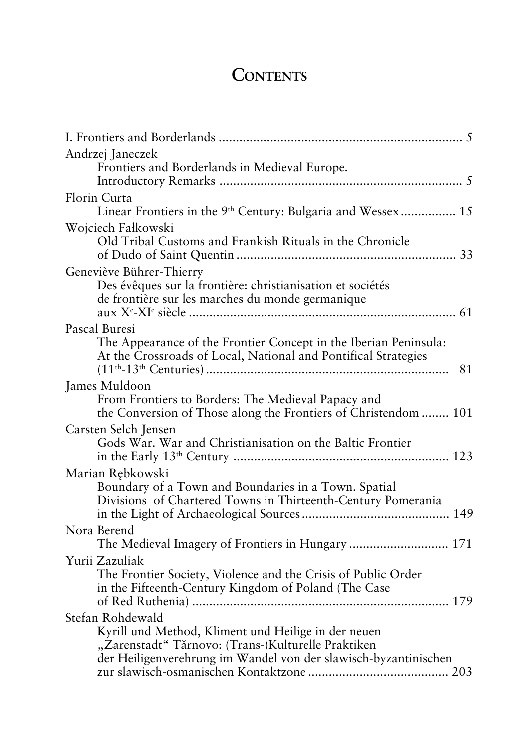## **CONTENTS**

| Andrzej Janeczek<br>Frontiers and Borderlands in Medieval Europe.                                                                                                                                |
|--------------------------------------------------------------------------------------------------------------------------------------------------------------------------------------------------|
| Florin Curta<br>Linear Frontiers in the 9 <sup>th</sup> Century: Bulgaria and Wessex 15                                                                                                          |
| Wojciech Fałkowski<br>Old Tribal Customs and Frankish Rituals in the Chronicle                                                                                                                   |
| Geneviève Bührer-Thierry<br>Des évêques sur la frontière: christianisation et sociétés<br>de frontière sur les marches du monde germanique                                                       |
| Pascal Buresi<br>The Appearance of the Frontier Concept in the Iberian Peninsula:<br>At the Crossroads of Local, National and Pontifical Strategies<br>81                                        |
| James Muldoon<br>From Frontiers to Borders: The Medieval Papacy and<br>the Conversion of Those along the Frontiers of Christendom  101                                                           |
| Carsten Selch Jensen<br>Gods War. War and Christianisation on the Baltic Frontier                                                                                                                |
| Marian Rebkowski<br>Boundary of a Town and Boundaries in a Town. Spatial<br>Divisions of Chartered Towns in Thirteenth-Century Pomerania                                                         |
| Nora Berend<br>The Medieval Imagery of Frontiers in Hungary  171                                                                                                                                 |
| Yurii Zazuliak<br>The Frontier Society, Violence and the Crisis of Public Order<br>in the Fifteenth-Century Kingdom of Poland (The Case                                                          |
| Stefan Rohdewald<br>Kyrill und Method, Kliment und Heilige in der neuen<br>"Zarenstadt" Tărnovo: (Trans-)Kulturelle Praktiken<br>der Heiligenverehrung im Wandel von der slawisch-byzantinischen |